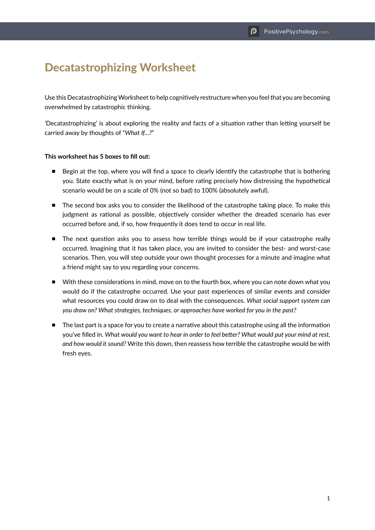# Decatastrophizing Worksheet

Use this Decatastrophizing Worksheet to help cognitively restructure when you feel that you are becoming overwhelmed by catastrophic thinking.

'Decatastrophizing' is about exploring the reality and facts of a situation rather than letting yourself be carried away by thoughts of "*What If...?*"

#### **This worksheet has 5 boxes to fill out:**

- Begin at the top, where you will find a space to clearly identify the catastrophe that is bothering you. State exactly what is on your mind, before rating precisely how distressing the hypothetical scenario would be on a scale of 0% (not so bad) to 100% (absolutely awful).
- The second box asks you to consider the likelihood of the catastrophe taking place. To make this judgment as rational as possible, objectively consider whether the dreaded scenario has ever occurred before and, if so, how frequently it does tend to occur in real life.
- The next question asks you to assess how terrible things would be if your catastrophe really occurred. Imagining that it has taken place, you are invited to consider the best- and worst-case scenarios. Then, you will step outside your own thought processes for a minute and imagine what a friend might say to you regarding your concerns.
- With these considerations in mind, move on to the fourth box, where you can note down what you would do if the catastrophe occurred. Use your past experiences of similar events and consider what resources you could draw on to deal with the consequences. *What social support system can you draw on? What strategies, techniques, or approaches have worked for you in the past?*
- The last part is a space for you to create a narrative about this catastrophe using all the information you've filled in. *What would you want to hear in order to feel better? What would put your mind at rest, and how would it sound?* Write this down, then reassess how terrible the catastrophe would be with fresh eyes.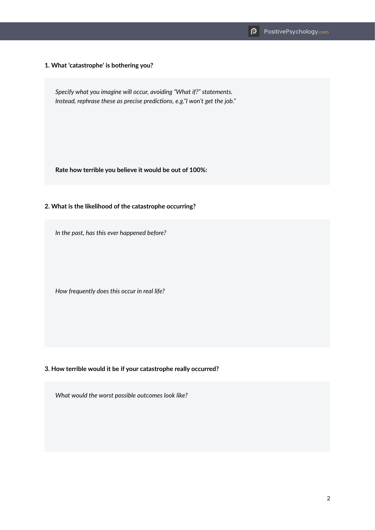**1. What 'catastrophe' is bothering you?**

*Specify what you imagine will occur, avoiding "What if?" statements. Instead, rephrase these as precise predictions, e.g."I won't get the job."*

**Rate how terrible you believe it would be out of 100%:**

### **2. What is the likelihood of the catastrophe occurring?**

*In the past, has this ever happened before?*

*How frequently does this occur in real life?*

# **3. How terrible would it be if your catastrophe really occurred?**

*What would the worst possible outcomes look like?*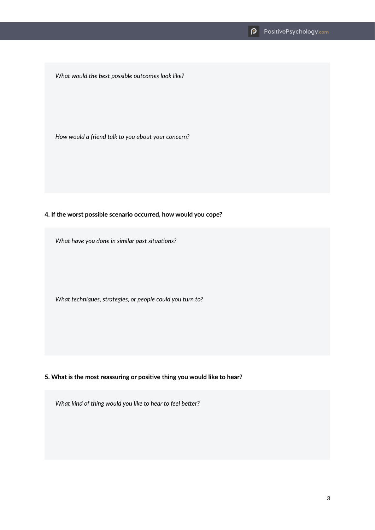*What would the best possible outcomes look like?*

*How would a friend talk to you about your concern?*

### **4. If the worst possible scenario occurred, how would you cope?**

*What have you done in similar past situations?*

*What techniques, strategies, or people could you turn to?*

# **5. What is the most reassuring or positive thing you would like to hear?**

*What kind of thing would you like to hear to feel better?*